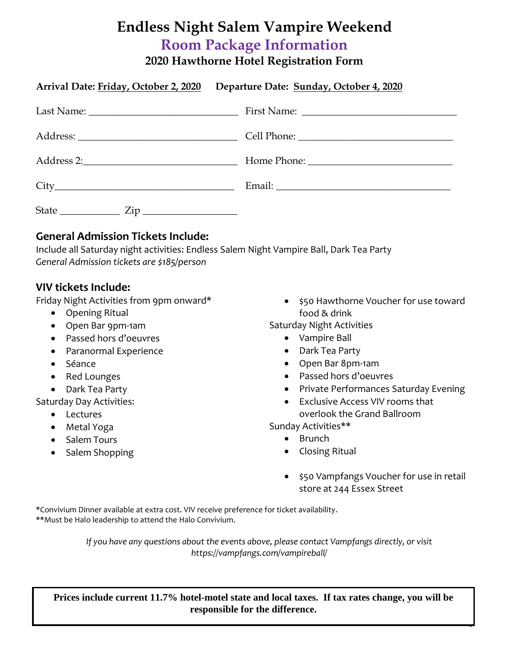## **Endless Night Salem Vampire Weekend Room Package Information 2020 Hawthorne Hotel Registration Form**

|                                  | Arrival Date: Friday, October 2, 2020 Departure Date: Sunday, October 4, 2020 |
|----------------------------------|-------------------------------------------------------------------------------|
|                                  |                                                                               |
|                                  |                                                                               |
|                                  |                                                                               |
|                                  |                                                                               |
| State $\frac{Zip}{\sqrt{1-p^2}}$ |                                                                               |

## **General Admission Tickets Include:**

Include all Saturday night activities: Endless Salem Night Vampire Ball, Dark Tea Party *General Admission tickets are \$185/person*

## **VIV tickets Include:**

Friday Night Activities from 9pm onward\*

- Opening Ritual
- Open Bar 9pm-1am
- Passed hors d'oeuvres
- Paranormal Experience
- Séance
- Red Lounges
- Dark Tea Party

Saturday Day Activities:

- Lectures
- Metal Yoga
- Salem Tours
- Salem Shopping

• \$50 Hawthorne Voucher for use toward food & drink

Saturday Night Activities

- Vampire Ball
- Dark Tea Party
- Open Bar 8pm-1am
- Passed hors d'oeuvres
- Private Performances Saturday Evening
- Exclusive Access VIV rooms that overlook the Grand Ballroom

Sunday Activities\*\*

- Brunch
- Closing Ritual
- \$50 Vampfangs Voucher for use in retail store at 244 Essex Street

1

\*Convivium Dinner available at extra cost. VIV receive preference for ticket availability. \*\*Must be Halo leadership to attend the Halo Convivium.

> *If you have any questions about the events above, please contact Vampfangs directly, or visit https://vampfangs.com/vampireball/*

**Prices include current 11.7% hotel-motel state and local taxes. If tax rates change, you will be responsible for the difference.**